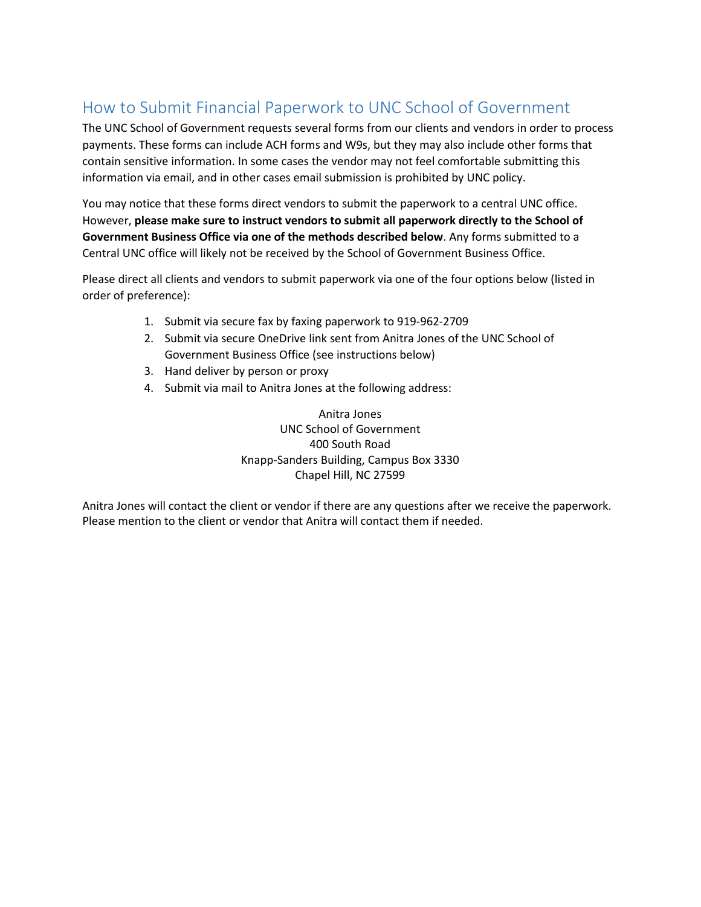## How to Submit Financial Paperwork to UNC School of Government

The UNC School of Government requests several forms from our clients and vendors in order to process payments. These forms can include ACH forms and W9s, but they may also include other forms that contain sensitive information. In some cases the vendor may not feel comfortable submitting this information via email, and in other cases email submission is prohibited by UNC policy.

You may notice that these forms direct vendors to submit the paperwork to a central UNC office. However, **please make sure to instruct vendors to submit all paperwork directly to the School of Government Business Office via one of the methods described below**. Any forms submitted to a Central UNC office will likely not be received by the School of Government Business Office.

Please direct all clients and vendors to submit paperwork via one of the four options below (listed in order of preference):

- 1. Submit via secure fax by faxing paperwork to 919-962-2709
- 2. Submit via secure OneDrive link sent from Anitra Jones of the UNC School of Government Business Office (see instructions below)
- 3. Hand deliver by person or proxy
- 4. Submit via mail to Anitra Jones at the following address:

Anitra Jones UNC School of Government 400 South Road Knapp-Sanders Building, Campus Box 3330 Chapel Hill, NC 27599

Anitra Jones will contact the client or vendor if there are any questions after we receive the paperwork. Please mention to the client or vendor that Anitra will contact them if needed.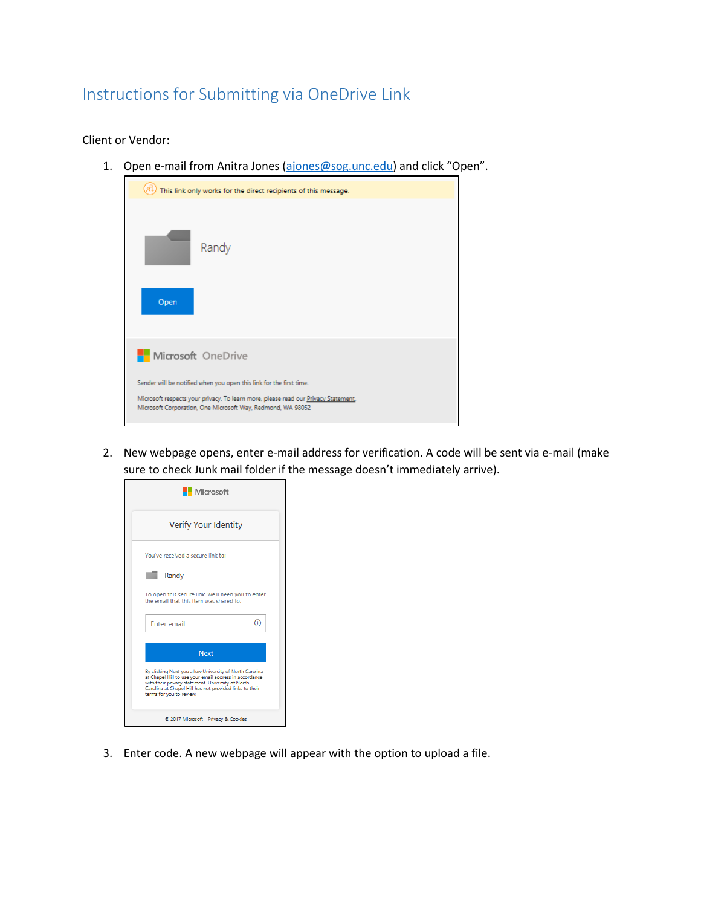## Instructions for Submitting via OneDrive Link

## Client or Vendor:

1. Open e-mail from Anitra Jones [\(ajones@sog.unc.edu\)](mailto:ajones@sog.unc.edu) and click "Open".

| This link only works for the direct recipients of this message.                                                                                   |  |  |  |  |
|---------------------------------------------------------------------------------------------------------------------------------------------------|--|--|--|--|
| Randy                                                                                                                                             |  |  |  |  |
| Open                                                                                                                                              |  |  |  |  |
| Microsoft OneDrive                                                                                                                                |  |  |  |  |
| Sender will be notified when you open this link for the first time.                                                                               |  |  |  |  |
| Microsoft respects your privacy. To learn more, please read our Privacy Statement.<br>Microsoft Corporation, One Microsoft Way, Redmond, WA 98052 |  |  |  |  |

2. New webpage opens, enter e-mail address for verification. A code will be sent via e-mail (make sure to check Junk mail folder if the message doesn't immediately arrive).

| <b>Microsoft</b>                                                                                                                                                                                                                                              |  |  |  |  |
|---------------------------------------------------------------------------------------------------------------------------------------------------------------------------------------------------------------------------------------------------------------|--|--|--|--|
| Verify Your Identity                                                                                                                                                                                                                                          |  |  |  |  |
| You've received a secure link to:                                                                                                                                                                                                                             |  |  |  |  |
| Randy                                                                                                                                                                                                                                                         |  |  |  |  |
| To open this secure link, we'll need you to enter<br>the email that this item was shared to.                                                                                                                                                                  |  |  |  |  |
| <b>Enter email</b><br>T                                                                                                                                                                                                                                       |  |  |  |  |
| <b>Next</b>                                                                                                                                                                                                                                                   |  |  |  |  |
| By clicking Next you allow University of North Carolina<br>at Chapel Hill to use your email address in accordance<br>with their privacy statement. University of North<br>Carolina at Chapel Hill has not provided links to their<br>terms for you to review. |  |  |  |  |
| @ 2017 Microsoft Privacy & Cookies                                                                                                                                                                                                                            |  |  |  |  |

3. Enter code. A new webpage will appear with the option to upload a file.